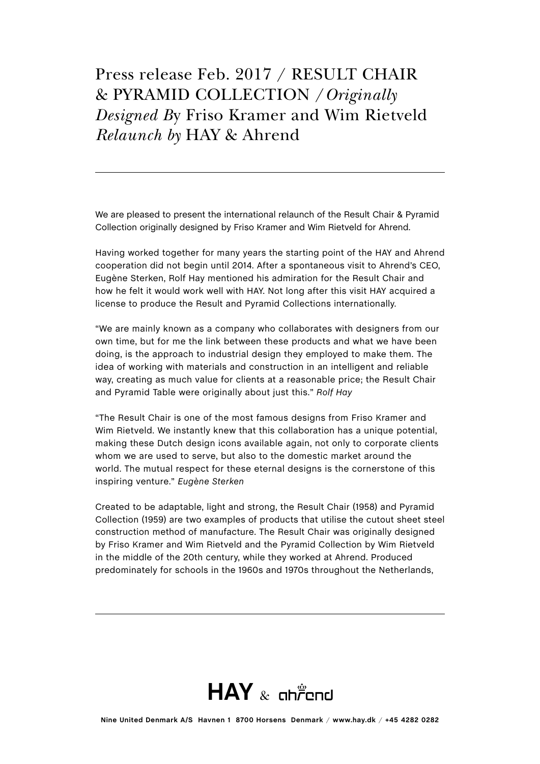We are pleased to present the international relaunch of the Result Chair & Pyramid Collection originally designed by Friso Kramer and Wim Rietveld for Ahrend.

Having worked together for many years the starting point of the HAY and Ahrend cooperation did not begin until 2014. After a spontaneous visit to Ahrend's CEO, Eugène Sterken, Rolf Hay mentioned his admiration for the Result Chair and how he felt it would work well with HAY. Not long after this visit HAY acquired a license to produce the Result and Pyramid Collections internationally.

"We are mainly known as a company who collaborates with designers from our own time, but for me the link between these products and what we have been doing, is the approach to industrial design they employed to make them. The idea of working with materials and construction in an intelligent and reliable way, creating as much value for clients at a reasonable price; the Result Chair and Pyramid Table were originally about just this." *Rolf Hay*

"The Result Chair is one of the most famous designs from Friso Kramer and Wim Rietveld. We instantly knew that this collaboration has a unique potential, making these Dutch design icons available again, not only to corporate clients whom we are used to serve, but also to the domestic market around the world. The mutual respect for these eternal designs is the cornerstone of this inspiring venture." *Eugène Sterken* 

Created to be adaptable, light and strong, the Result Chair (1958) and Pyramid Collection (1959) are two examples of products that utilise the cutout sheet steel construction method of manufacture. The Result Chair was originally designed by Friso Kramer and Wim Rietveld and the Pyramid Collection by Wim Rietveld in the middle of the 20th century, while they worked at Ahrend. Produced predominately for schools in the 1960s and 1970s throughout the Netherlands,

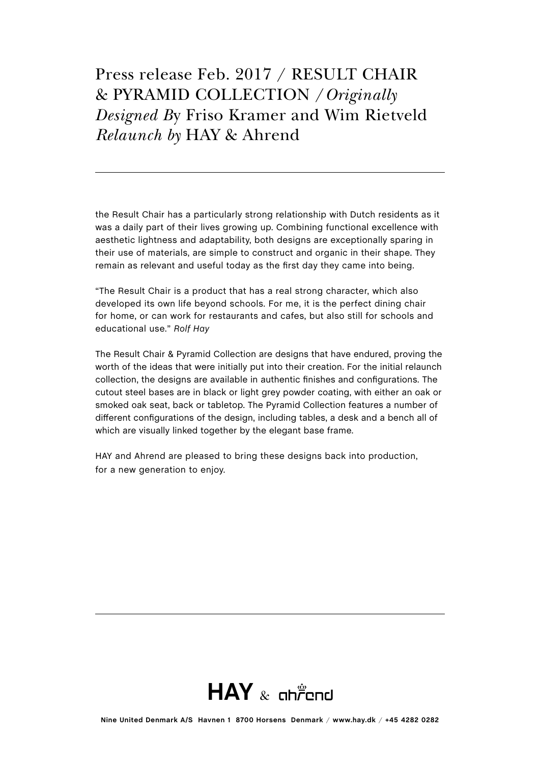the Result Chair has a particularly strong relationship with Dutch residents as it was a daily part of their lives growing up. Combining functional excellence with aesthetic lightness and adaptability, both designs are exceptionally sparing in their use of materials, are simple to construct and organic in their shape. They remain as relevant and useful today as the first day they came into being.

"The Result Chair is a product that has a real strong character, which also developed its own life beyond schools. For me, it is the perfect dining chair for home, or can work for restaurants and cafes, but also still for schools and educational use." *Rolf Hay*

The Result Chair & Pyramid Collection are designs that have endured, proving the worth of the ideas that were initially put into their creation. For the initial relaunch collection, the designs are available in authentic finishes and configurations. The cutout steel bases are in black or light grey powder coating, with either an oak or smoked oak seat, back or tabletop. The Pyramid Collection features a number of different configurations of the design, including tables, a desk and a bench all of which are visually linked together by the elegant base frame.

HAY and Ahrend are pleased to bring these designs back into production, for a new generation to enjoy.

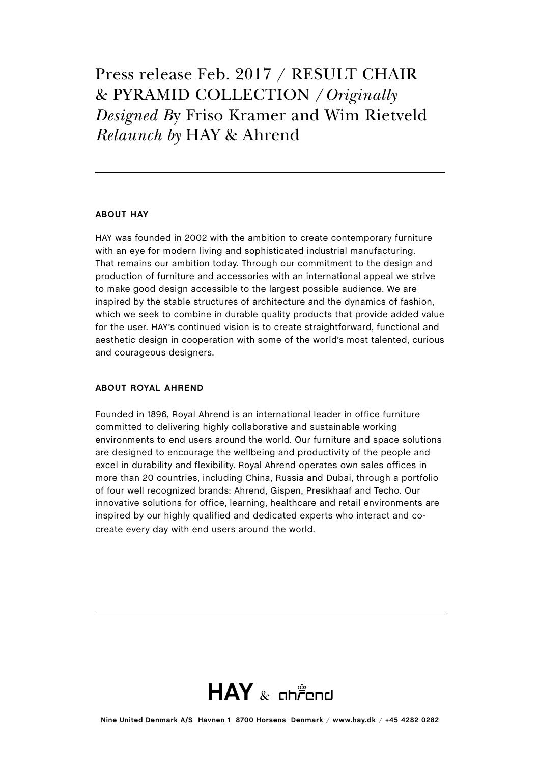### **ABOUT HAY**

HAY was founded in 2002 with the ambition to create contemporary furniture with an eye for modern living and sophisticated industrial manufacturing. That remains our ambition today. Through our commitment to the design and production of furniture and accessories with an international appeal we strive to make good design accessible to the largest possible audience. We are inspired by the stable structures of architecture and the dynamics of fashion, which we seek to combine in durable quality products that provide added value for the user. HAY's continued vision is to create straightforward, functional and aesthetic design in cooperation with some of the world's most talented, curious and courageous designers.

#### **ABOUT ROYAL AHREND**

Founded in 1896, Royal Ahrend is an international leader in office furniture committed to delivering highly collaborative and sustainable working environments to end users around the world. Our furniture and space solutions are designed to encourage the wellbeing and productivity of the people and excel in durability and flexibility. Royal Ahrend operates own sales offices in more than 20 countries, including China, Russia and Dubai, through a portfolio of four well recognized brands: Ahrend, Gispen, Presikhaaf and Techo. Our innovative solutions for office, learning, healthcare and retail environments are inspired by our highly qualified and dedicated experts who interact and cocreate every day with end users around the world.